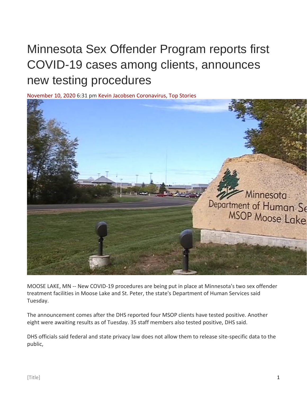## Minnesota Sex Offender Program reports first COVID-19 cases among clients, announces new testing procedures

[November 10, 2020 6](https://cbs3duluth.com/2020/11/):31 pm [Kevin Jacobsen](https://cbs3duluth.com/author/kjacobsen/) [Coronavirus,](https://cbs3duluth.com/category/news/coronavirus/) [Top Stories](https://cbs3duluth.com/category/news/top-stories/)



MOOSE LAKE, MN -- New COVID-19 procedures are being put in place at Minnesota's two sex offender treatment facilities in Moose Lake and St. Peter, the state's Department of Human Services said Tuesday.

The announcement comes after the DHS reported four MSOP clients have tested positive. Another eight were awaiting results as of Tuesday. 35 staff members also tested positive, DHS said.

DHS officials said federal and state privacy law does not allow them to release site-specific data to the public,